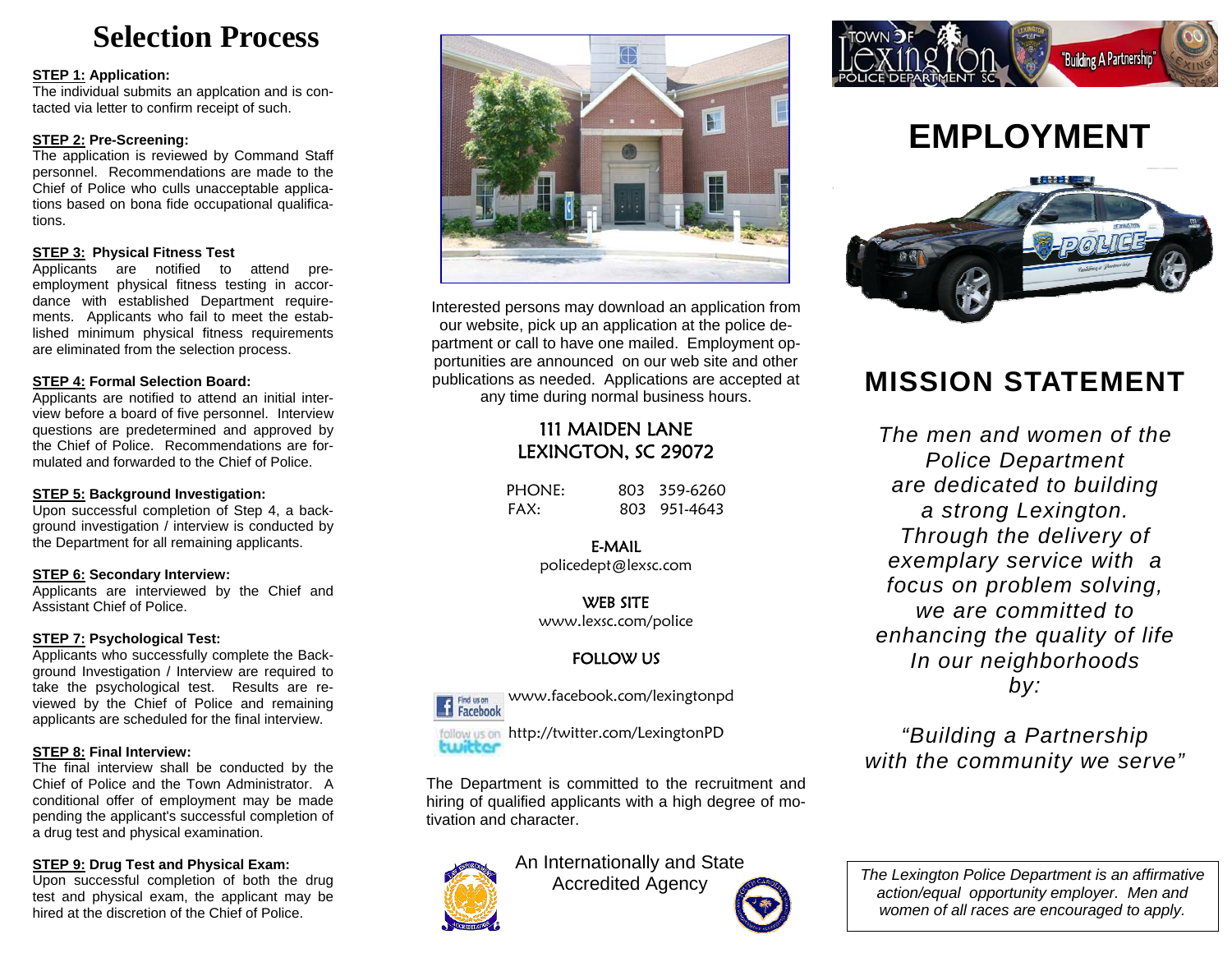# **Selection Process**

#### **STEP 1: Application:**

The individual submits an applcation and is contacted via letter to confirm receipt of such.

#### **STEP 2: Pre-Screening:**

The application is reviewed by Command Staff personnel. Recommendations are made to the Chief of Police who culls unacceptable applications based on bona fide occupational qualifications.

### Follow us on FACEBOOK **STEP 3: Physical Fitness Test**

Applicants are notified to attend preemployment physical fitness testing in accordance with established Department requirements. Applicants who fail to meet the established minimum physical fitness requirements are eliminated from the selection process.

### **STEP 4: Formal Selection Board:**

Applicants are notified to attend an initial interview before a board of five personnel. Interview questions are predetermined and approved by the Chief of Police. Recommendations are formulated and forwarded to the Chief of Police.

### **STEP 5: Background Investigation:**

Upon successful completion of Step 4, a background investigation / interview is conducted by the Department for all remaining applicants.

### **STEP 6: Secondary Interview:**

Applicants are interviewed by the Chief and Assistant Chief of Police.

### **STEP 7: Psychological Test:**

Applicants who successfully complete the Background Investigation / Interview are required to take the psychological test. Results are reviewed by the Chief of Police and remaining applicants are scheduled for the final interview.

### **STEP 8: Final Interview:**

The final interview shall be conducted by the Chief of Police and the Town Administrator. A conditional offer of employment may be made pending the applicant's successful completion of a drug test and physical examination.

### **STEP 9: Drug Test and Physical Exam:**

Upon successful completion of both the drug test and physical exam, the applicant may be hired at the discretion of the Chief of Police.



Interested persons may download an application from our website, pick up an application at the police department or call to have one mailed. Employment opportunities are announced on our web site and other publications as needed. Applications are accepted at any time during normal business hours.

# 111 MAIDEN LANE LEXINGTON, SC 29072

| PHONE: | 803 359-6260 |
|--------|--------------|
| FAX:   | 803 951-4643 |

E-MAIL policedept@lexsc.com

WEB SITE www.lexsc.com/police

### FOLLOW US



www.facebook.com/lexingtonpd

follow us on http://twitter.com/LexingtonPD twitter

The Department is committed to the recruitment and hiring of qualified applicants with a high degree of motivation and character.



An Internationally and State Accredited Agency



# **EMPLOYMENT**



# **MISSION STATEMENT**

*The men and women of the Police Department are dedicated to building a strong Lexington. Through the delivery of exemplary service with a focus on problem solving, we are committed to enhancing the quality of life In our neighborhoods by:* 

*"Building a Partnership with the community we serve"* 

*The Lexington Police Department is an affirmative action/equal opportunity employer. Men and women of all races are encouraged to apply.*